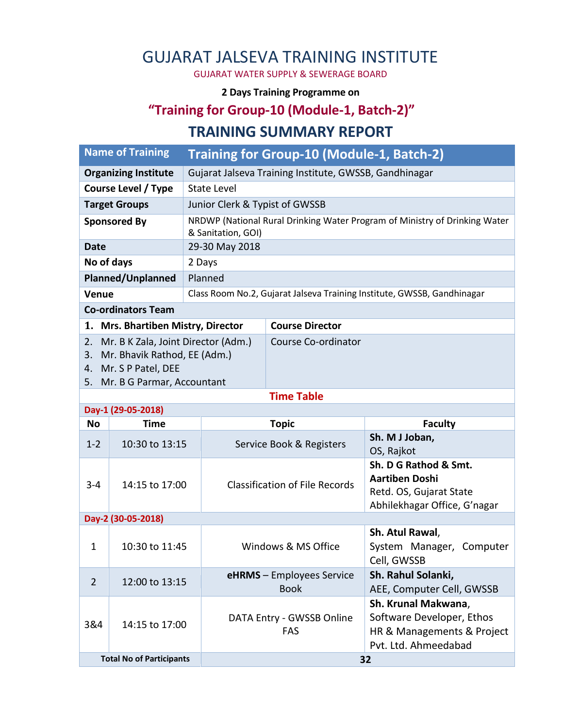# GUJARAT JALSEVA TRAINING INSTITUTE

GUJARAT WATER SUPPLY & SEWERAGE BOARD

#### **2 Days Training Programme on**

### **"Training for Group-10 (Module-1, Batch-2)"**

#### **TRAINING SUMMARY REPORT**

| <b>Name of Training</b>     |                                                                                                                         | Training for Group-10 (Module-1, Batch-2)                                                        |                                                                                   |                                                                                                           |  |  |  |  |  |
|-----------------------------|-------------------------------------------------------------------------------------------------------------------------|--------------------------------------------------------------------------------------------------|-----------------------------------------------------------------------------------|-----------------------------------------------------------------------------------------------------------|--|--|--|--|--|
| <b>Organizing Institute</b> |                                                                                                                         | Gujarat Jalseva Training Institute, GWSSB, Gandhinagar                                           |                                                                                   |                                                                                                           |  |  |  |  |  |
| <b>Course Level / Type</b>  |                                                                                                                         | <b>State Level</b>                                                                               |                                                                                   |                                                                                                           |  |  |  |  |  |
| <b>Target Groups</b>        |                                                                                                                         | Junior Clerk & Typist of GWSSB                                                                   |                                                                                   |                                                                                                           |  |  |  |  |  |
| <b>Sponsored By</b>         |                                                                                                                         | NRDWP (National Rural Drinking Water Program of Ministry of Drinking Water<br>& Sanitation, GOI) |                                                                                   |                                                                                                           |  |  |  |  |  |
| <b>Date</b>                 |                                                                                                                         | 29-30 May 2018                                                                                   |                                                                                   |                                                                                                           |  |  |  |  |  |
| No of days                  |                                                                                                                         | 2 Days                                                                                           |                                                                                   |                                                                                                           |  |  |  |  |  |
| Planned/Unplanned           |                                                                                                                         | Planned                                                                                          |                                                                                   |                                                                                                           |  |  |  |  |  |
| Venue                       |                                                                                                                         | Class Room No.2, Gujarat Jalseva Training Institute, GWSSB, Gandhinagar                          |                                                                                   |                                                                                                           |  |  |  |  |  |
| <b>Co-ordinators Team</b>   |                                                                                                                         |                                                                                                  |                                                                                   |                                                                                                           |  |  |  |  |  |
|                             | 1. Mrs. Bhartiben Mistry, Director                                                                                      |                                                                                                  | <b>Course Director</b>                                                            |                                                                                                           |  |  |  |  |  |
| 2.<br>3.<br>4.<br>5.        | Mr. B K Zala, Joint Director (Adm.)<br>Mr. Bhavik Rathod, EE (Adm.)<br>Mr. S P Patel, DEE<br>Mr. B G Parmar, Accountant |                                                                                                  | Course Co-ordinator                                                               |                                                                                                           |  |  |  |  |  |
| <b>Time Table</b>           |                                                                                                                         |                                                                                                  |                                                                                   |                                                                                                           |  |  |  |  |  |
| Day-1 (29-05-2018)          |                                                                                                                         |                                                                                                  |                                                                                   |                                                                                                           |  |  |  |  |  |
| <b>No</b>                   | <b>Time</b>                                                                                                             |                                                                                                  | <b>Topic</b>                                                                      | <b>Faculty</b>                                                                                            |  |  |  |  |  |
| $1 - 2$                     | 10:30 to 13:15                                                                                                          |                                                                                                  | Service Book & Registers                                                          | Sh. M J Joban,<br>OS, Rajkot                                                                              |  |  |  |  |  |
| $3 - 4$                     | 14:15 to 17:00                                                                                                          |                                                                                                  | <b>Classification of File Records</b>                                             | Sh. D G Rathod & Smt.<br><b>Aartiben Doshi</b><br>Retd. OS, Gujarat State<br>Abhilekhagar Office, G'nagar |  |  |  |  |  |
| Day-2 (30-05-2018)          |                                                                                                                         |                                                                                                  |                                                                                   |                                                                                                           |  |  |  |  |  |
| $\mathbf 1$                 | 10:30 to 11:45                                                                                                          |                                                                                                  | Sh. Atul Rawal,<br>Windows & MS Office<br>System Manager, Computer<br>Cell, GWSSB |                                                                                                           |  |  |  |  |  |
| $\overline{2}$              | 12:00 to 13:15                                                                                                          |                                                                                                  | eHRMS - Employees Service<br><b>Book</b>                                          | Sh. Rahul Solanki,<br>AEE, Computer Cell, GWSSB                                                           |  |  |  |  |  |
| 3&4                         | 14:15 to 17:00                                                                                                          |                                                                                                  | DATA Entry - GWSSB Online<br>FAS                                                  | Sh. Krunal Makwana,<br>Software Developer, Ethos<br>HR & Managements & Project<br>Pvt. Ltd. Ahmeedabad    |  |  |  |  |  |
|                             | <b>Total No of Participants</b>                                                                                         |                                                                                                  | 32                                                                                |                                                                                                           |  |  |  |  |  |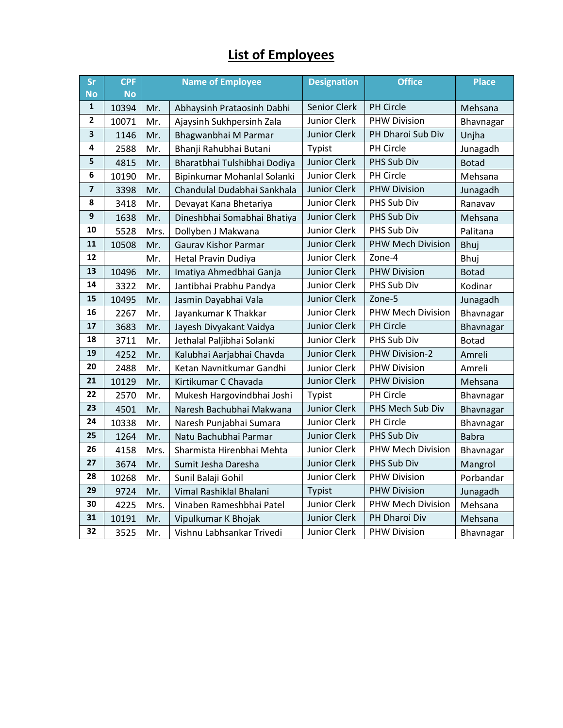## **List of Employees**

| Sr                      | <b>CPF</b> | <b>Name of Employee</b> |                              | <b>Designation</b>  | <b>Office</b>            | <b>Place</b> |
|-------------------------|------------|-------------------------|------------------------------|---------------------|--------------------------|--------------|
| <b>No</b>               | <b>No</b>  |                         |                              |                     |                          |              |
| $\mathbf{1}$            | 10394      | Mr.                     | Abhaysinh Prataosinh Dabhi   | Senior Clerk        | PH Circle                | Mehsana      |
| $\overline{\mathbf{2}}$ | 10071      | Mr.                     | Ajaysinh Sukhpersinh Zala    | Junior Clerk        | <b>PHW Division</b>      | Bhavnagar    |
| 3                       | 1146       | Mr.                     | Bhagwanbhai M Parmar         | Junior Clerk        | PH Dharoi Sub Div        | Unjha        |
| 4                       | 2588       | Mr.                     | Bhanji Rahubhai Butani       | Typist              | PH Circle                | Junagadh     |
| 5                       | 4815       | Mr.                     | Bharatbhai Tulshibhai Dodiya | Junior Clerk        | PHS Sub Div              | <b>Botad</b> |
| 6                       | 10190      | Mr.                     | Bipinkumar Mohanlal Solanki  | Junior Clerk        | PH Circle                | Mehsana      |
| $\overline{\mathbf{z}}$ | 3398       | Mr.                     | Chandulal Dudabhai Sankhala  | Junior Clerk        | <b>PHW Division</b>      | Junagadh     |
| 8                       | 3418       | Mr.                     | Devayat Kana Bhetariya       | Junior Clerk        | PHS Sub Div              | Ranavav      |
| $\boldsymbol{9}$        | 1638       | Mr.                     | Dineshbhai Somabhai Bhatiya  | <b>Junior Clerk</b> | PHS Sub Div              | Mehsana      |
| 10                      | 5528       | Mrs.                    | Dollyben J Makwana           | Junior Clerk        | PHS Sub Div              | Palitana     |
| 11                      | 10508      | Mr.                     | <b>Gaurav Kishor Parmar</b>  | Junior Clerk        | <b>PHW Mech Division</b> | Bhuj         |
| 12                      |            | Mr.                     | <b>Hetal Pravin Dudiya</b>   | Junior Clerk        | Zone-4                   | Bhuj         |
| 13                      | 10496      | Mr.                     | Imatiya Ahmedbhai Ganja      | Junior Clerk        | <b>PHW Division</b>      | <b>Botad</b> |
| 14                      | 3322       | Mr.                     | Jantibhai Prabhu Pandya      | Junior Clerk        | PHS Sub Div              | Kodinar      |
| 15                      | 10495      | Mr.                     | Jasmin Dayabhai Vala         | <b>Junior Clerk</b> | Zone-5                   | Junagadh     |
| 16                      | 2267       | Mr.                     | Jayankumar K Thakkar         | Junior Clerk        | <b>PHW Mech Division</b> | Bhavnagar    |
| 17                      | 3683       | Mr.                     | Jayesh Divyakant Vaidya      | Junior Clerk        | PH Circle                | Bhavnagar    |
| 18                      | 3711       | Mr.                     | Jethalal Paljibhai Solanki   | Junior Clerk        | PHS Sub Div              | <b>Botad</b> |
| 19                      | 4252       | Mr.                     | Kalubhai Aarjabhai Chavda    | Junior Clerk        | PHW Division-2           | Amreli       |
| 20                      | 2488       | Mr.                     | Ketan Navnitkumar Gandhi     | Junior Clerk        | <b>PHW Division</b>      | Amreli       |
| 21                      | 10129      | Mr.                     | Kirtikumar C Chavada         | Junior Clerk        | <b>PHW Division</b>      | Mehsana      |
| 22                      | 2570       | Mr.                     | Mukesh Hargovindbhai Joshi   | Typist              | <b>PH Circle</b>         | Bhavnagar    |
| 23                      | 4501       | Mr.                     | Naresh Bachubhai Makwana     | <b>Junior Clerk</b> | PHS Mech Sub Div         | Bhavnagar    |
| 24                      | 10338      | Mr.                     | Naresh Punjabhai Sumara      | Junior Clerk        | PH Circle                | Bhavnagar    |
| 25                      | 1264       | Mr.                     | Natu Bachubhai Parmar        | <b>Junior Clerk</b> | PHS Sub Div              | <b>Babra</b> |
| 26                      | 4158       | Mrs.                    | Sharmista Hirenbhai Mehta    | Junior Clerk        | PHW Mech Division        | Bhavnagar    |
| 27                      | 3674       | Mr.                     | Sumit Jesha Daresha          | <b>Junior Clerk</b> | PHS Sub Div              | Mangrol      |
| 28                      | 10268      | Mr.                     | Sunil Balaji Gohil           | Junior Clerk        | <b>PHW Division</b>      | Porbandar    |
| 29                      | 9724       | Mr.                     | Vimal Rashiklal Bhalani      | <b>Typist</b>       | <b>PHW Division</b>      | Junagadh     |
| 30                      | 4225       | Mrs.                    | Vinaben Rameshbhai Patel     | Junior Clerk        | PHW Mech Division        | Mehsana      |
| 31                      | 10191      | Mr.                     | Vipulkumar K Bhojak          | Junior Clerk        | PH Dharoi Div            | Mehsana      |
| 32                      | 3525       | Mr.                     | Vishnu Labhsankar Trivedi    | Junior Clerk        | <b>PHW Division</b>      | Bhavnagar    |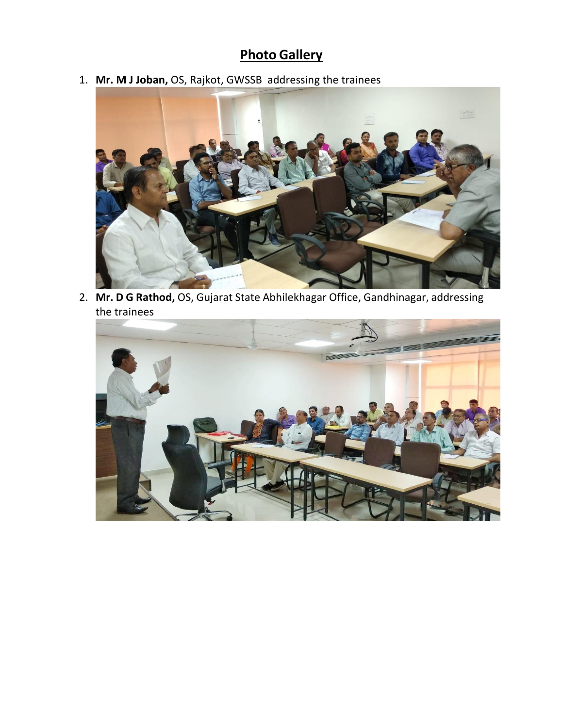## **Photo Gallery**

1. **Mr. M J Joban,** OS, Rajkot, GWSSB addressing the trainees



2. **Mr. D G Rathod,** OS, Gujarat State Abhilekhagar Office, Gandhinagar, addressing the trainees